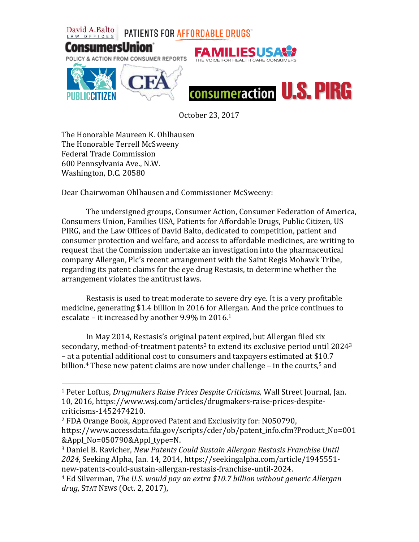

October 23, 2017

The Honorable Maureen K. Ohlhausen The Honorable Terrell McSweeny Federal Trade Commission 600 Pennsylvania Ave., N.W. Washington, D.C. 20580

 $\overline{a}$ 

Dear Chairwoman Ohlhausen and Commissioner McSweeny:

The undersigned groups, Consumer Action, Consumer Federation of America, Consumers Union, Families USA, Patients for Affordable Drugs, Public Citizen, US PIRG, and the Law Offices of David Balto, dedicated to competition, patient and consumer protection and welfare, and access to affordable medicines, are writing to request that the Commission undertake an investigation into the pharmaceutical company Allergan, Plc's recent arrangement with the Saint Regis Mohawk Tribe, regarding its patent claims for the eye drug Restasis, to determine whether the arrangement violates the antitrust laws.

Restasis is used to treat moderate to severe dry eye. It is a very profitable medicine, generating \$1.4 billion in 2016 for Allergan. And the price continues to escalate – it increased by another 9.9% in 2016.<sup>1</sup>

In May 2014, Restasis's original patent expired, but Allergan filed six secondary, method-of-treatment patents<sup>2</sup> to extend its exclusive period until  $2024<sup>3</sup>$ – at a potential additional cost to consumers and taxpayers estimated at \$10.7 billion.<sup>4</sup> These new patent claims are now under challenge  $-$  in the courts,<sup>5</sup> and

<sup>1</sup> Peter Loftus, *Drugmakers Raise Prices Despite Criticisms,* Wall Street Journal, Jan. 10, 2016, https://www.wsj.com/articles/drugmakers-raise-prices-despitecriticisms-1452474210.

<sup>2</sup> FDA Orange Book, Approved Patent and Exclusivity for: N050790, https://www.accessdata.fda.gov/scripts/cder/ob/patent\_info.cfm?Product\_No=001 &Appl\_No=050790&Appl\_type=N.

<sup>3</sup> Daniel B. Ravicher, *New Patents Could Sustain Allergan Restasis Franchise Until 2024*, Seeking Alpha, Jan. 14, 2014, https://seekingalpha.com/article/1945551 new-patents-could-sustain-allergan-restasis-franchise-until-2024.

<sup>4</sup> Ed Silverman, *The U.S. would pay an extra \$10.7 billion without generic Allergan drug*, STAT NEWS (Oct. 2, 2017),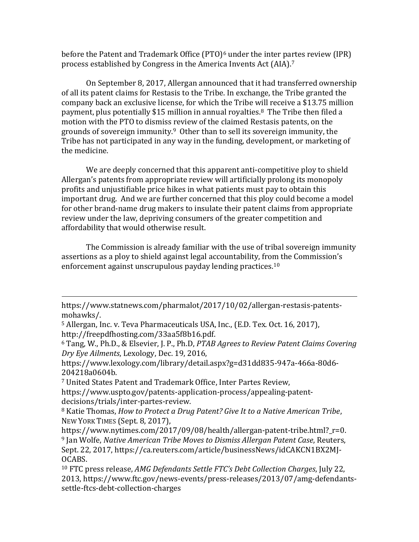before the Patent and Trademark Office  $(PTO)<sup>6</sup>$  under the inter partes review (IPR) process established by Congress in the America Invents Act (AIA).<sup>7</sup>

On September 8, 2017, Allergan announced that it had transferred ownership of all its patent claims for Restasis to the Tribe. In exchange, the Tribe granted the company back an exclusive license, for which the Tribe will receive a \$13.75 million payment, plus potentially \$15 million in annual royalties.<sup>8</sup> The Tribe then filed a motion with the PTO to dismiss review of the claimed Restasis patents, on the grounds of sovereign immunity.9 Other than to sell its sovereign immunity, the Tribe has not participated in any way in the funding, development, or marketing of the medicine.

We are deeply concerned that this apparent anti-competitive ploy to shield Allergan's patents from appropriate review will artificially prolong its monopoly profits and unjustifiable price hikes in what patients must pay to obtain this important drug. And we are further concerned that this ploy could become a model for other brand-name drug makers to insulate their patent claims from appropriate review under the law, depriving consumers of the greater competition and affordability that would otherwise result.

The Commission is already familiar with the use of tribal sovereign immunity assertions as a ploy to shield against legal accountability, from the Commission's enforcement against unscrupulous payday lending practices.<sup>10</sup>

l

<sup>7</sup> United States Patent and Trademark Office, Inter Partes Review, https://www.uspto.gov/patents-application-process/appealing-patentdecisions/trials/inter-partes-review.

<sup>8</sup> Katie Thomas, *How to Protect a Drug Patent? Give It to a Native American Tribe*, NEW YORK TIMES (Sept. 8, 2017),

https://www.statnews.com/pharmalot/2017/10/02/allergan-restasis-patentsmohawks/.

<sup>5</sup> Allergan, Inc. v. Teva Pharmaceuticals USA, Inc., (E.D. Tex. Oct. 16, 2017), http://freepdfhosting.com/33aa5f8b16.pdf.

<sup>6</sup> Tang, W., Ph.D., & Elsevier, J. P., Ph.D, *PTAB Agrees to Review Patent Claims Covering Dry Eye Ailments*, Lexology, Dec. 19, 2016,

https://www.lexology.com/library/detail.aspx?g=d31dd835-947a-466a-80d6- 204218a0604b.

https://www.nytimes.com/2017/09/08/health/allergan-patent-tribe.html?\_r=0. <sup>9</sup> Jan Wolfe, *Native American Tribe Moves to Dismiss Allergan Patent Case*, Reuters, Sept. 22, 2017, https://ca.reuters.com/article/businessNews/idCAKCN1BX2MJ-OCABS.

<sup>10</sup> FTC press release, *AMG Defendants Settle FTC's Debt Collection Charges*, July 22, 2013, https://www.ftc.gov/news-events/press-releases/2013/07/amg-defendantssettle-ftcs-debt-collection-charges